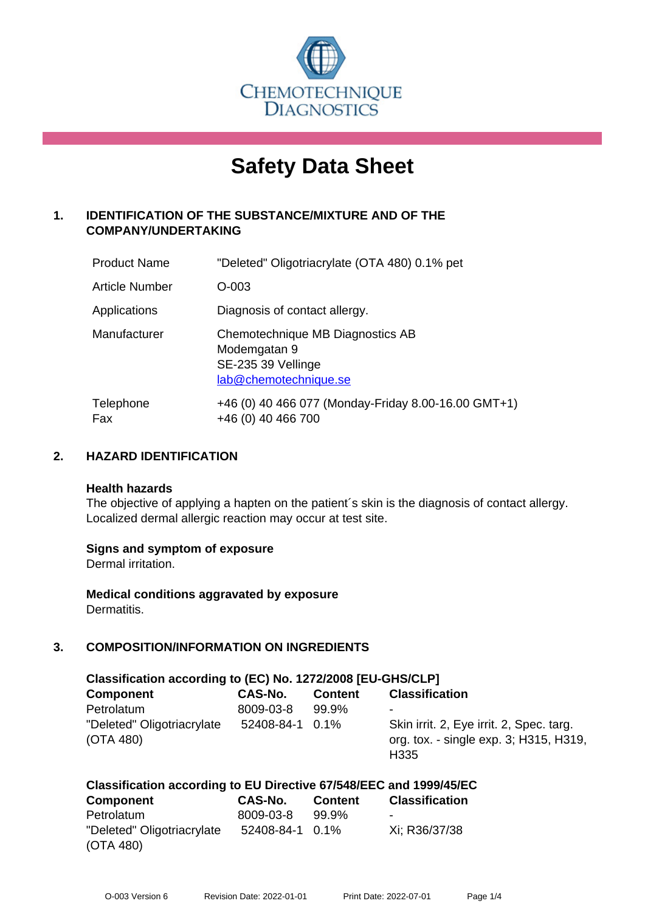

# **Safety Data Sheet**

# **1. IDENTIFICATION OF THE SUBSTANCE/MIXTURE AND OF THE COMPANY/UNDERTAKING**

| <b>Product Name</b>   | "Deleted" Oligotriacrylate (OTA 480) 0.1% pet                                                   |
|-----------------------|-------------------------------------------------------------------------------------------------|
| <b>Article Number</b> | O-003                                                                                           |
| Applications          | Diagnosis of contact allergy.                                                                   |
| Manufacturer          | Chemotechnique MB Diagnostics AB<br>Modemgatan 9<br>SE-235 39 Vellinge<br>lab@chemotechnique.se |
| Telephone<br>Fax      | +46 (0) 40 466 077 (Monday-Friday 8.00-16.00 GMT+1)<br>+46 (0) 40 466 700                       |

# **2. HAZARD IDENTIFICATION**

#### **Health hazards**

The objective of applying a hapten on the patient's skin is the diagnosis of contact allergy. Localized dermal allergic reaction may occur at test site.

#### **Signs and symptom of exposure**

Dermal irritation.

**Medical conditions aggravated by exposure** Dermatitis.

# **3. COMPOSITION/INFORMATION ON INGREDIENTS**

| Classification according to (EC) No. 1272/2008 [EU-GHS/CLP] |                 |                |                                                                                                        |  |
|-------------------------------------------------------------|-----------------|----------------|--------------------------------------------------------------------------------------------------------|--|
| <b>Component</b>                                            | CAS-No.         | <b>Content</b> | <b>Classification</b>                                                                                  |  |
| Petrolatum                                                  | 8009-03-8       | 99.9%          | ۰                                                                                                      |  |
| "Deleted" Oligotriacrylate<br>(OTA 480)                     | 52408-84-1 0.1% |                | Skin irrit. 2, Eye irrit. 2, Spec. targ.<br>org. tox. - single exp. 3; H315, H319,<br>H <sub>335</sub> |  |

#### **Classification according to EU Directive 67/548/EEC and 1999/45/EC**

| <b>Component</b>           | CAS-No.         | <b>Content</b> | <b>Classification</b> |
|----------------------------|-----------------|----------------|-----------------------|
| Petrolatum                 | 8009-03-8       | 99.9%          |                       |
| "Deleted" Oligotriacrylate | 52408-84-1 0.1% |                | Xi; R36/37/38         |
| (OTA 480)                  |                 |                |                       |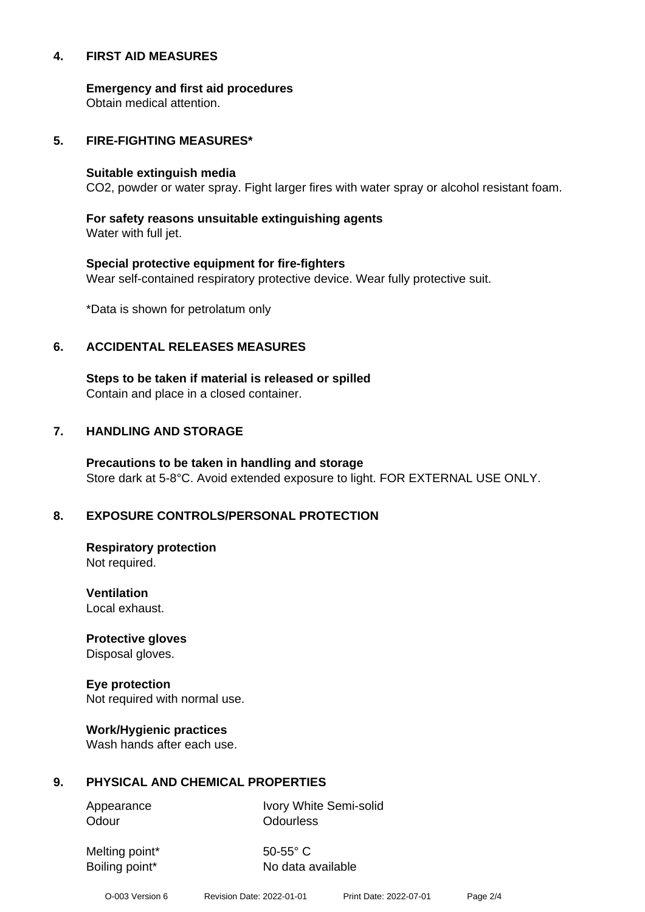#### **4. FIRST AID MEASURES**

**Emergency and first aid procedures**

Obtain medical attention.

#### **5. FIRE-FIGHTING MEASURES\***

#### **Suitable extinguish media**

CO2, powder or water spray. Fight larger fires with water spray or alcohol resistant foam.

# **For safety reasons unsuitable extinguishing agents**

Water with full jet.

# **Special protective equipment for fire-fighters** Wear self-contained respiratory protective device. Wear fully protective suit.

\*Data is shown for petrolatum only

# **6. ACCIDENTAL RELEASES MEASURES**

**Steps to be taken if material is released or spilled** Contain and place in a closed container.

# **7. HANDLING AND STORAGE**

**Precautions to be taken in handling and storage** Store dark at 5-8°C. Avoid extended exposure to light. FOR EXTERNAL USE ONLY.

# **8. EXPOSURE CONTROLS/PERSONAL PROTECTION**

**Respiratory protection** Not required.

**Ventilation** Local exhaust.

**Protective gloves** Disposal gloves.

# **Eye protection**

Not required with normal use.

#### **Work/Hygienic practices**

Wash hands after each use.

#### **9. PHYSICAL AND CHEMICAL PROPERTIES**

Odour **Odourless** 

Appearance Ivory White Semi-solid

Melting point\* 50-55° C

Boiling point\* No data available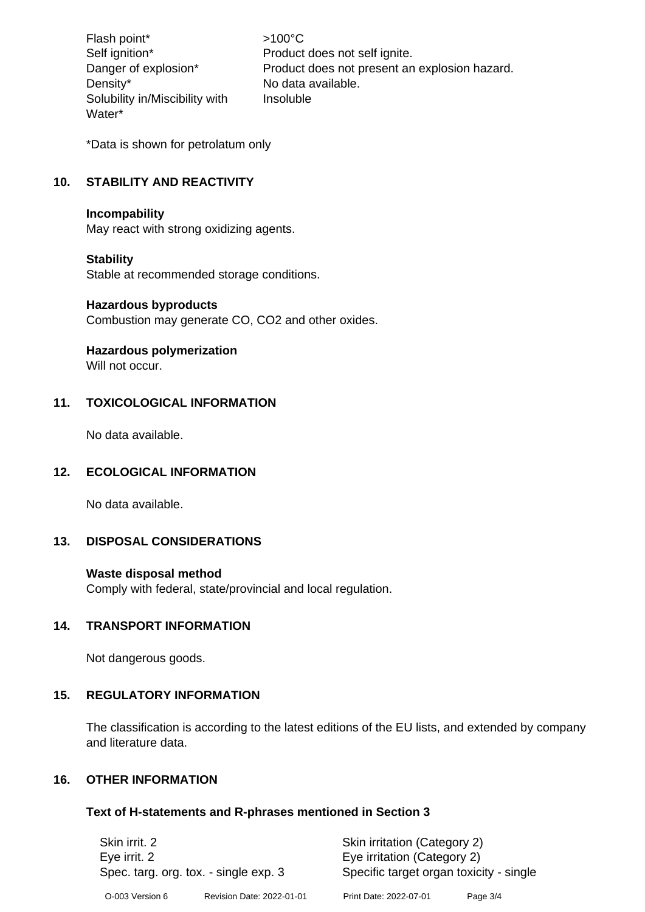Flash point\*  $>100^{\circ}$ C Density\* No data available. Solubility in/Miscibility with Water\*

Self ignition\* Product does not self ignite. Danger of explosion\* Product does not present an explosion hazard. Insoluble

\*Data is shown for petrolatum only

# **10. STABILITY AND REACTIVITY**

#### **Incompability**

May react with strong oxidizing agents.

#### **Stability**

Stable at recommended storage conditions.

#### **Hazardous byproducts**

Combustion may generate CO, CO2 and other oxides.

#### **Hazardous polymerization**

Will not occur.

# **11. TOXICOLOGICAL INFORMATION**

No data available.

#### **12. ECOLOGICAL INFORMATION**

No data available.

# **13. DISPOSAL CONSIDERATIONS**

#### **Waste disposal method**

Comply with federal, state/provincial and local regulation.

#### **14. TRANSPORT INFORMATION**

Not dangerous goods.

#### **15. REGULATORY INFORMATION**

The classification is according to the latest editions of the EU lists, and extended by company and literature data.

#### **16. OTHER INFORMATION**

#### **Text of H-statements and R-phrases mentioned in Section 3**

| Skin irrit. 2<br>Eye irrit. 2<br>Spec. targ. org. tox. - single exp. 3 |                           | Skin irritation (Category 2)<br>Eye irritation (Category 2)<br>Specific target organ toxicity - single |            |
|------------------------------------------------------------------------|---------------------------|--------------------------------------------------------------------------------------------------------|------------|
| O-003 Version 6                                                        | Revision Date: 2022-01-01 | Print Date: 2022-07-01                                                                                 | Page $3/4$ |